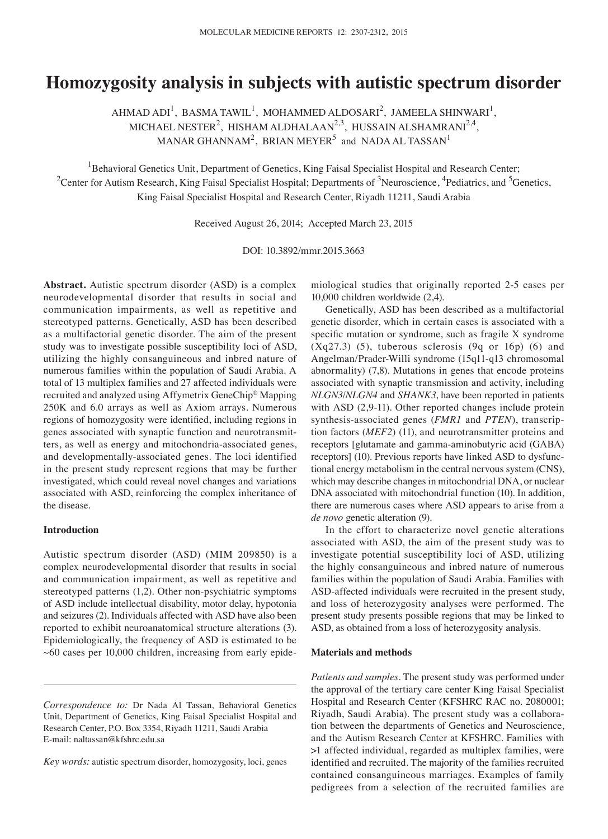# **Homozygosity analysis in subjects with autistic spectrum disorder**

 $A$ HMAD ADI $^1$ , BASMA TAWIL<sup>1</sup>, MOHAMMED ALDOSARI<sup>2</sup>, JAMEELA SHINWARI<sup>1</sup>, MICHAEL NESTER<sup>2</sup>, HISHAM ALDHALAAN<sup>2,3</sup>, HUSSAIN ALSHAMRANI<sup>2,4</sup>, MANAR GHANNAM<sup>2</sup>, BRIAN MEYER<sup>5</sup> and NADA AL TASSAN<sup>1</sup>

<sup>1</sup>Behavioral Genetics Unit, Department of Genetics, King Faisal Specialist Hospital and Research Center;  $^2$ Center for Autism Research, King Faisal Specialist Hospital; Departments of  $^3$ Neuroscience,  $^4$ Pediatrics, and  $^5$ Genetics, King Faisal Specialist Hospital and Research Center, Riyadh 11211, Saudi Arabia

Received August 26, 2014; Accepted March 23, 2015

DOI: 10.3892/mmr.2015.3663

**Abstract.** Autistic spectrum disorder (ASD) is a complex neurodevelopmental disorder that results in social and communication impairments, as well as repetitive and stereotyped patterns. Genetically, ASD has been described as a multifactorial genetic disorder. The aim of the present study was to investigate possible susceptibility loci of ASD, utilizing the highly consanguineous and inbred nature of numerous families within the population of Saudi Arabia. A total of 13 multiplex families and 27 affected individuals were recruited and analyzed using Affymetrix GeneChip® Mapping 250K and 6.0 arrays as well as Axiom arrays. Numerous regions of homozygosity were identified, including regions in genes associated with synaptic function and neurotransmitters, as well as energy and mitochondria-associated genes, and developmentally-associated genes. The loci identified in the present study represent regions that may be further investigated, which could reveal novel changes and variations associated with ASD, reinforcing the complex inheritance of the disease.

## **Introduction**

Autistic spectrum disorder (ASD) (MIM 209850) is a complex neurodevelopmental disorder that results in social and communication impairment, as well as repetitive and stereotyped patterns (1,2). Other non-psychiatric symptoms of ASD include intellectual disability, motor delay, hypotonia and seizures (2). Individuals affected with ASD have also been reported to exhibit neuroanatomical structure alterations (3). Epidemiologically, the frequency of ASD is estimated to be  $~10,000$  children, increasing from early epidemiological studies that originally reported 2-5 cases per 10,000 children worldwide (2,4).

Genetically, ASD has been described as a multifactorial genetic disorder, which in certain cases is associated with a specific mutation or syndrome, such as fragile X syndrome  $(Xq27.3)$  (5), tuberous sclerosis (9q or 16p) (6) and Angelman/Prader-Willi syndrome (15q11-q13 chromosomal abnormality) (7,8). Mutations in genes that encode proteins associated with synaptic transmission and activity, including *NLGN3*/*NLGN4* and *SHANK3*, have been reported in patients with ASD (2,9-11). Other reported changes include protein synthesis-associated genes (*FMR1* and *PTEN*), transcription factors (*MEF2*) (11), and neurotransmitter proteins and receptors [glutamate and gamma-aminobutyric acid (GABA) receptors] (10). Previous reports have linked ASD to dysfunctional energy metabolism in the central nervous system (CNS), which may describe changes in mitochondrial DNA, or nuclear DNA associated with mitochondrial function (10). In addition, there are numerous cases where ASD appears to arise from a *de novo* genetic alteration (9).

In the effort to characterize novel genetic alterations associated with ASD, the aim of the present study was to investigate potential susceptibility loci of ASD, utilizing the highly consanguineous and inbred nature of numerous families within the population of Saudi Arabia. Families with ASD-affected individuals were recruited in the present study, and loss of heterozygosity analyses were performed. The present study presents possible regions that may be linked to ASD, as obtained from a loss of heterozygosity analysis.

#### **Materials and methods**

*Patients and samples.* The present study was performed under the approval of the tertiary care center King Faisal Specialist Hospital and Research Center (KFSHRC RAC no. 2080001; Riyadh, Saudi Arabia). The present study was a collaboration between the departments of Genetics and Neuroscience, and the Autism Research Center at KFSHRC. Families with >1 affected individual, regarded as multiplex families, were identified and recruited. The majority of the families recruited contained consanguineous marriages. Examples of family pedigrees from a selection of the recruited families are

*Correspondence to:* Dr Nada Al Tassan, Behavioral Genetics Unit, Department of Genetics, King Faisal Specialist Hospital and Research Center, P.O. Box 3354, Riyadh 11211, Saudi Arabia E-mail: naltassan@kfshrc.edu.sa

*Key words:* autistic spectrum disorder, homozygosity, loci, genes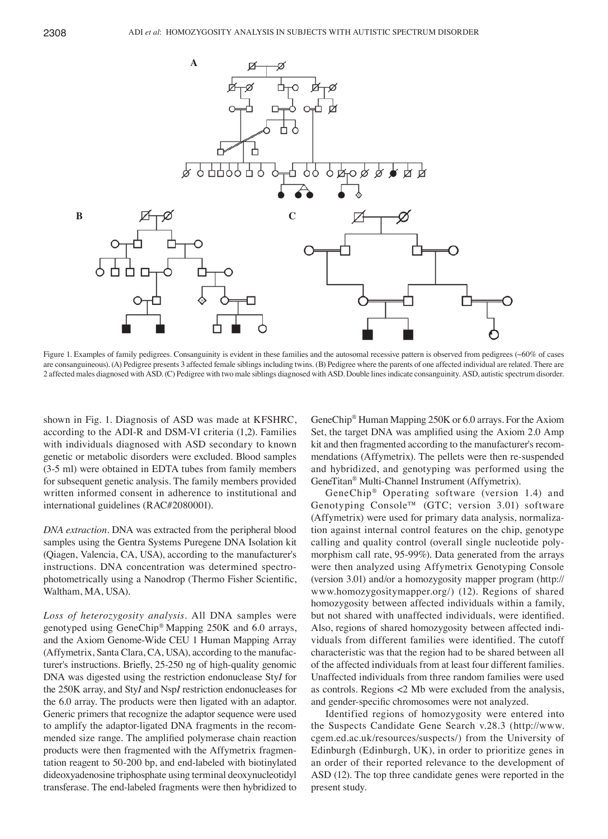

Figure 1. Examples of family pedigrees. Consanguinity is evident in these families and the autosomal recessive pattern is observed from pedigrees (~60% of cases are consanguineous). (A) Pedigree presents 3 affected female siblings including twins. (B) Pedigree where the parents of one affected individual are related. There are 2 affected males diagnosed with ASD. (C) Pedigree with two male siblings diagnosed with ASD. Double lines indicate consanguinity. ASD, autistic spectrum disorder.

shown in Fig. 1. Diagnosis of ASD was made at KFSHRC, according to the ADI-R and DSM-VI criteria (1,2). Families with individuals diagnosed with ASD secondary to known genetic or metabolic disorders were excluded. Blood samples (3-5 ml) were obtained in EDTA tubes from family members for subsequent genetic analysis. The family members provided written informed consent in adherence to institutional and international guidelines (RAC#2080001).

*DNA extraction.* DNA was extracted from the peripheral blood samples using the Gentra Systems Puregene DNA Isolation kit (Qiagen, Valencia, CA, USA), according to the manufacturer's instructions. DNA concentration was determined spectrophotometrically using a Nanodrop (Thermo Fisher Scientific, Waltham, MA, USA).

*Loss of heterozygosity analysis.* All DNA samples were genotyped using GeneChip® Mapping 250K and 6.0 arrays, and the Axiom Genome-Wide CEU 1 Human Mapping Array (Affymetrix, Santa Clara, CA, USA), according to the manufacturer's instructions. Briefly, 25‑250 ng of high-quality genomic DNA was digested using the restriction endonuclease Sty*I* for the 250K array, and Sty*I* and Nsp*I* restriction endonucleases for the 6.0 array. The products were then ligated with an adaptor. Generic primers that recognize the adaptor sequence were used to amplify the adaptor-ligated DNA fragments in the recommended size range. The amplified polymerase chain reaction products were then fragmented with the Affymetrix fragmentation reagent to 50-200 bp, and end-labeled with biotinylated dideoxyadenosine triphosphate using terminal deoxynucleotidyl transferase. The end-labeled fragments were then hybridized to

GeneChip® Human Mapping 250K or 6.0 arrays. For the Axiom Set, the target DNA was amplified using the Axiom 2.0 Amp kit and then fragmented according to the manufacturer's recommendations (Affymetrix). The pellets were then re-suspended and hybridized, and genotyping was performed using the GeneTitan® Multi-Channel Instrument (Affymetrix).

GeneChip® Operating software (version 1.4) and Genotyping Console™ (GTC; version 3.01) software (Affymetrix) were used for primary data analysis, normalization against internal control features on the chip, genotype calling and quality control (overall single nucleotide polymorphism call rate, 95-99%). Data generated from the arrays were then analyzed using Affymetrix Genotyping Console (version 3.01) and/or a homozygosity mapper program (http:// www.homozygositymapper.org/) (12). Regions of shared homozygosity between affected individuals within a family, but not shared with unaffected individuals, were identified. Also, regions of shared homozygosity between affected individuals from different families were identified. The cutoff characteristic was that the region had to be shared between all of the affected individuals from at least four different families. Unaffected individuals from three random families were used as controls. Regions <2 Mb were excluded from the analysis, and gender-specific chromosomes were not analyzed.

Identified regions of homozygosity were entered into the Suspects Candidate Gene Search v.28.3 (http://www. cgem.ed.ac.uk/resources/suspects/) from the University of Edinburgh (Edinburgh, UK), in order to prioritize genes in an order of their reported relevance to the development of ASD (12). The top three candidate genes were reported in the present study.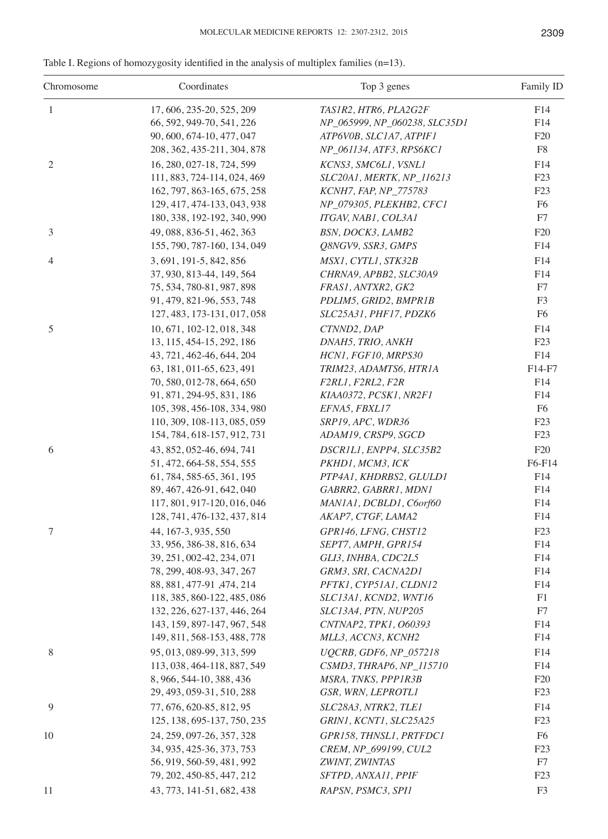|  |  | Table I. Regions of homozygosity identified in the analysis of multiplex families $(n=13)$ . |  |  |  |  |  |  |
|--|--|----------------------------------------------------------------------------------------------|--|--|--|--|--|--|
|--|--|----------------------------------------------------------------------------------------------|--|--|--|--|--|--|

| Chromosome     | Coordinates                                            | Top 3 genes                                 | Family ID      |
|----------------|--------------------------------------------------------|---------------------------------------------|----------------|
| $\mathbf{1}$   | 17, 606, 235-20, 525, 209                              | TAS1R2, HTR6, PLA2G2F                       | F14            |
|                | 66, 592, 949-70, 541, 226                              | NP_065999, NP_060238, SLC35D1               | F14            |
|                | 90, 600, 674-10, 477, 047                              | ATP6VOB, SLC1A7, ATPIF1                     | F20            |
|                | 208, 362, 435-211, 304, 878                            | NP_061134, ATF3, RPS6KC1                    | ${\rm F}8$     |
| $\mathfrak{2}$ | 16, 280, 027-18, 724, 599                              | KCNS3, SMC6L1, VSNL1                        | F14            |
|                | 111, 883, 724-114, 024, 469                            | SLC20A1, MERTK, NP_116213                   | F23            |
|                | 162, 797, 863-165, 675, 258                            | KCNH7, FAP, NP_775783                       | F23            |
|                | 129, 417, 474-133, 043, 938                            | NP_079305, PLEKHB2, CFC1                    | F <sub>6</sub> |
|                | 180, 338, 192-192, 340, 990                            | ITGAV, NAB1, COL3A1                         | F7             |
| 3              | 49, 088, 836-51, 462, 363                              | BSN, DOCK3, LAMB2                           | F20            |
|                | 155, 790, 787-160, 134, 049                            | Q8NGV9, SSR3, GMPS                          | F14            |
| 4              | 3, 691, 191-5, 842, 856                                | MSX1, CYTL1, STK32B                         | F14            |
|                | 37, 930, 813-44, 149, 564                              | CHRNA9, APBB2, SLC30A9                      | F14            |
|                | 75, 534, 780-81, 987, 898                              | FRAS1, ANTXR2, GK2                          | F7             |
|                | 91, 479, 821-96, 553, 748                              | PDLIM5, GRID2, BMPR1B                       | F <sub>3</sub> |
|                | 127, 483, 173-131, 017, 058                            | SLC25A31, PHF17, PDZK6                      | F <sub>6</sub> |
|                | 10, 671, 102-12, 018, 348                              |                                             |                |
| 5              | 13, 115, 454-15, 292, 186                              | CTNND2, DAP<br>DNAH5, TRIO, ANKH            | F14<br>F23     |
|                | 43, 721, 462-46, 644, 204                              | HCN1, FGF10, MRPS30                         | F14            |
|                |                                                        |                                             |                |
|                | 63, 181, 011-65, 623, 491<br>70, 580, 012-78, 664, 650 | TRIM23, ADAMTS6, HTR1A                      | F14-F7<br>F14  |
|                | 91, 871, 294-95, 831, 186                              | F2RL1, F2RL2, F2R<br>KIAA0372, PCSK1, NR2F1 | F14            |
|                | 105, 398, 456-108, 334, 980                            | EFNA5, FBXL17                               | F <sub>6</sub> |
|                |                                                        |                                             | F23            |
|                | 110, 309, 108-113, 085, 059                            | SRP19, APC, WDR36                           | F23            |
|                | 154, 784, 618-157, 912, 731                            | ADAM19, CRSP9, SGCD                         |                |
| 6              | 43, 852, 052-46, 694, 741                              | DSCR1L1, ENPP4, SLC35B2                     | F20            |
|                | 51, 472, 664-58, 554, 555                              | PKHD1, MCM3, ICK                            | F6-F14         |
|                | 61, 784, 585-65, 361, 195                              | PTP4A1, KHDRBS2, GLULD1                     | F14            |
|                | 89, 467, 426-91, 642, 040                              | GABRR2, GABRR1, MDN1                        | F14            |
|                | 117, 801, 917-120, 016, 046                            | MANIAI, DCBLD1, C6orf60                     | F14            |
|                | 128, 741, 476-132, 437, 814                            | AKAP7, CTGF, LAMA2                          | F14            |
| 7              | 44, 167-3, 935, 550                                    | GPR146, LFNG, CHST12                        | F23            |
|                | 33, 956, 386-38, 816, 634                              | SEPT7, AMPH, GPR154                         | F14            |
|                | 39, 251, 002-42, 234, 071                              | GLI3, INHBA, CDC2L5                         | F14            |
|                | 78, 299, 408-93, 347, 267                              | GRM3, SRI, CACNA2D1                         | F14            |
|                | 88, 881, 477-91, 474, 214                              | PFTK1, CYP51A1, CLDN12                      | F14            |
|                | 118, 385, 860-122, 485, 086                            | SLC13A1, KCND2, WNT16                       | F1             |
|                | 132, 226, 627-137, 446, 264                            | SLC13A4, PTN, NUP205                        | F7             |
|                | 143, 159, 897-147, 967, 548                            | CNTNAP2, TPK1, 060393                       | F14            |
|                | 149, 811, 568-153, 488, 778                            | MLL3, ACCN3, KCNH2                          | F14            |
| 8              | 95, 013, 089-99, 313, 599                              | UQCRB, GDF6, NP_057218                      | F14            |
|                | 113, 038, 464-118, 887, 549                            | CSMD3, THRAP6, NP_115710                    | F14            |
|                | 8, 966, 544-10, 388, 436                               | MSRA, TNKS, PPP1R3B                         | F20            |
|                | 29, 493, 059-31, 510, 288                              | GSR, WRN, LEPROTL1                          | F23            |
| 9              | 77, 676, 620-85, 812, 95                               | SLC28A3, NTRK2, TLE1                        | F14            |
|                | 125, 138, 695-137, 750, 235                            | GRIN1, KCNT1, SLC25A25                      | F23            |
| 10             | 24, 259, 097-26, 357, 328                              | GPR158, THNSL1, PRTFDC1                     | F <sub>6</sub> |
|                | 34, 935, 425-36, 373, 753                              | CREM, NP_699199, CUL2                       | F23            |
|                | 56, 919, 560-59, 481, 992                              | ZWINT, ZWINTAS                              | F7             |
|                | 79, 202, 450-85, 447, 212                              | SFTPD, ANXA11, PPIF                         | F23            |
| 11             | 43, 773, 141-51, 682, 438                              | RAPSN, PSMC3, SPI1                          | F <sub>3</sub> |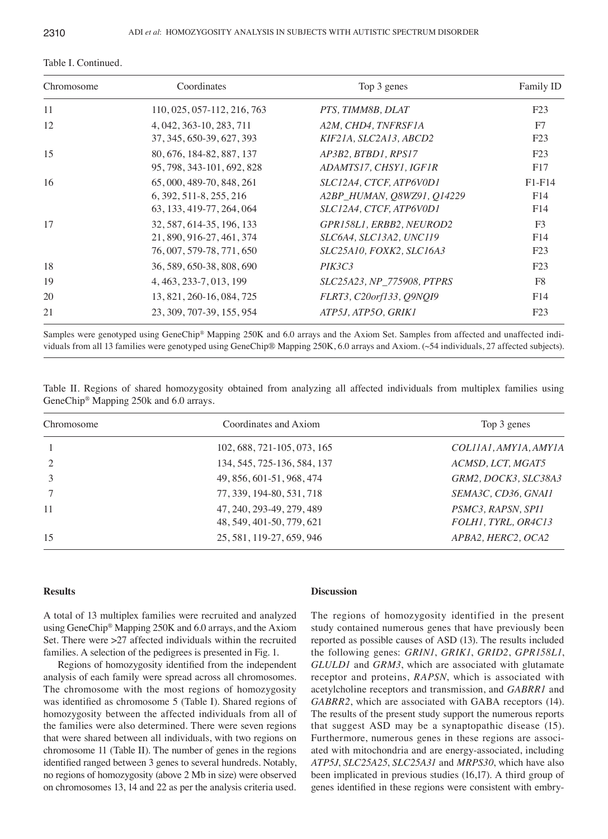| Coordinates<br>Chromosome |                                                                                     | Top 3 genes                                                                      | Family ID                    |  |
|---------------------------|-------------------------------------------------------------------------------------|----------------------------------------------------------------------------------|------------------------------|--|
| 11                        | 110, 025, 057-112, 216, 763                                                         | PTS, TIMM8B, DLAT                                                                | F23                          |  |
| 12                        | 4, 042, 363-10, 283, 711<br>37, 345, 650-39, 627, 393                               | A2M, CHD4, TNFRSF1A<br>KIF21A, SLC2A13, ABCD2                                    | F7<br>F23                    |  |
| 15                        | 80, 676, 184-82, 887, 137<br>95, 798, 343-101, 692, 828                             | AP3B2, BTBD1, RPS17<br>ADAMTS17, CHSY1, IGF1R                                    | F23<br>F17                   |  |
| 16                        | 65, 000, 489-70, 848, 261<br>6, 392, 511-8, 255, 216<br>63, 133, 419-77, 264, 064   | SLC12A4, CTCF, ATP6V0D1<br>A2BP_HUMAN, Q8WZ91, Q14229<br>SLC12A4, CTCF, ATP6V0D1 | $F1-F14$<br>F14<br>F14       |  |
| 17                        | 32, 587, 614-35, 196, 133<br>21, 890, 916-27, 461, 374<br>76, 007, 579-78, 771, 650 | GPR158L1, ERBB2, NEUROD2<br>SLC6A4, SLC13A2, UNC119<br>SLC25A10, FOXK2, SLC16A3  | F <sub>3</sub><br>F14<br>F23 |  |
| 18                        | 36, 589, 650-38, 808, 690                                                           | PIK3C3                                                                           | F23                          |  |
| 19                        | 4, 463, 233-7, 013, 199                                                             | <i>SLC25A23, NP 775908, PTPRS</i>                                                | F8                           |  |
| 20                        | 13, 821, 260-16, 084, 725                                                           | FLRT3, C20orf133, Q9NQI9                                                         | F14                          |  |
| 21                        | 23, 309, 707-39, 155, 954                                                           | ATP5J, ATP5O, GRIKI                                                              | F23                          |  |

Table I. Continued.

Samples were genotyped using GeneChip® Mapping 250K and 6.0 arrays and the Axiom Set. Samples from affected and unaffected individuals from all 13 families were genotyped using GeneChip® Mapping 250K, 6.0 arrays and Axiom. (~54 individuals, 27 affected subjects).

|  | Table II. Regions of shared homozygosity obtained from analyzing all affected individuals from multiplex families using |  |  |  |  |  |
|--|-------------------------------------------------------------------------------------------------------------------------|--|--|--|--|--|
|  | GeneChip <sup>®</sup> Mapping 250k and 6.0 arrays.                                                                      |  |  |  |  |  |

| Chromosome     | Coordinates and Axiom                                  | Top 3 genes                               |  |  |  |
|----------------|--------------------------------------------------------|-------------------------------------------|--|--|--|
|                | 102, 688, 721-105, 073, 165                            | COLIIAI, AMYIA, AMYIA                     |  |  |  |
| $\overline{2}$ | 134, 545, 725-136, 584, 137                            | ACMSD, LCT, MGAT5                         |  |  |  |
|                | 49, 856, 601-51, 968, 474                              | GRM2, DOCK3, SLC38A3                      |  |  |  |
|                | 77, 339, 194-80, 531, 718                              | SEMA3C, CD36, GNAI1                       |  |  |  |
| 11             | 47, 240, 293-49, 279, 489<br>48, 549, 401-50, 779, 621 | PSMC3, RAPSN, SPI1<br>FOLH1, TYRL, OR4C13 |  |  |  |
| 15             | 25, 581, 119-27, 659, 946                              | APBA2, HERC2, OCA2                        |  |  |  |

### **Results**

A total of 13 multiplex families were recruited and analyzed using GeneChip® Mapping 250K and 6.0 arrays, and the Axiom Set. There were >27 affected individuals within the recruited families. A selection of the pedigrees is presented in Fig. 1.

Regions of homozygosity identified from the independent analysis of each family were spread across all chromosomes. The chromosome with the most regions of homozygosity was identified as chromosome 5 (Table I). Shared regions of homozygosity between the affected individuals from all of the families were also determined. There were seven regions that were shared between all individuals, with two regions on chromosome 11 (Table II). The number of genes in the regions identified ranged between 3 genes to several hundreds. Notably, no regions of homozygosity (above 2 Mb in size) were observed on chromosomes 13, 14 and 22 as per the analysis criteria used.

## **Discussion**

The regions of homozygosity identified in the present study contained numerous genes that have previously been reported as possible causes of ASD (13). The results included the following genes: *GRIN1*, *GRIK1*, *GRID2*, *GPR158L1*, *GLULD1* and *GRM3*, which are associated with glutamate receptor and proteins, *RAPSN*, which is associated with acetylcholine receptors and transmission, and *GABRR1* and *GABRR2*, which are associated with GABA receptors (14). The results of the present study support the numerous reports that suggest ASD may be a synaptopathic disease (15). Furthermore, numerous genes in these regions are associated with mitochondria and are energy-associated, including *ATP5J*, *SLC25A25*, *SLC25A31* and *MRPS30*, which have also been implicated in previous studies (16,17). A third group of genes identified in these regions were consistent with embry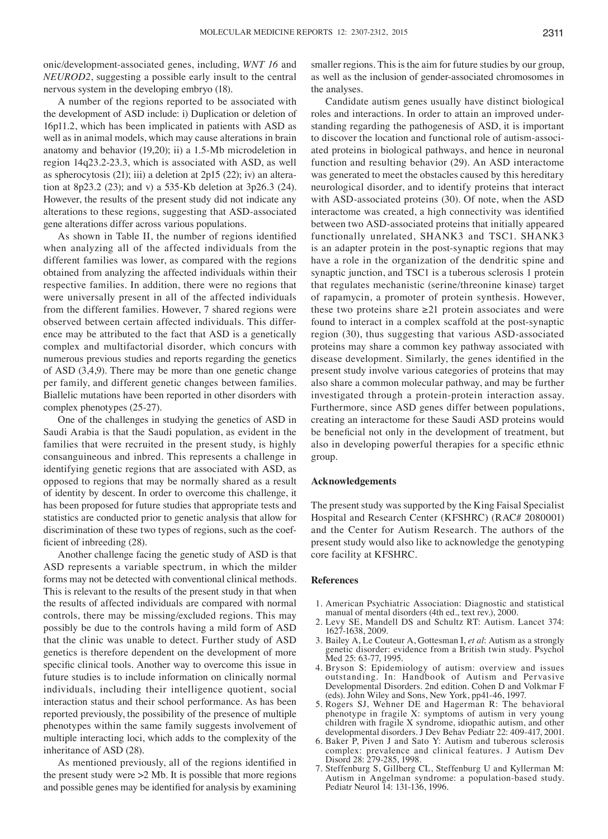onic/development-associated genes, including, *WNT 16* and *NEUROD2*, suggesting a possible early insult to the central nervous system in the developing embryo (18).

A number of the regions reported to be associated with the development of ASD include: i) Duplication or deletion of 16p11.2, which has been implicated in patients with ASD as well as in animal models, which may cause alterations in brain anatomy and behavior (19,20); ii) a 1.5-Mb microdeletion in region 14q23.2-23.3, which is associated with ASD, as well as spherocytosis (21); iii) a deletion at 2p15 (22); iv) an alteration at 8p23.2 (23); and v) a 535-Kb deletion at 3p26.3 (24). However, the results of the present study did not indicate any alterations to these regions, suggesting that ASD-associated gene alterations differ across various populations.

As shown in Table II, the number of regions identified when analyzing all of the affected individuals from the different families was lower, as compared with the regions obtained from analyzing the affected individuals within their respective families. In addition, there were no regions that were universally present in all of the affected individuals from the different families. However, 7 shared regions were observed between certain affected individuals. This difference may be attributed to the fact that ASD is a genetically complex and multifactorial disorder, which concurs with numerous previous studies and reports regarding the genetics of ASD (3,4,9). There may be more than one genetic change per family, and different genetic changes between families. Biallelic mutations have been reported in other disorders with complex phenotypes (25-27).

One of the challenges in studying the genetics of ASD in Saudi Arabia is that the Saudi population, as evident in the families that were recruited in the present study, is highly consanguineous and inbred. This represents a challenge in identifying genetic regions that are associated with ASD, as opposed to regions that may be normally shared as a result of identity by descent. In order to overcome this challenge, it has been proposed for future studies that appropriate tests and statistics are conducted prior to genetic analysis that allow for discrimination of these two types of regions, such as the coefficient of inbreeding (28).

Another challenge facing the genetic study of ASD is that ASD represents a variable spectrum, in which the milder forms may not be detected with conventional clinical methods. This is relevant to the results of the present study in that when the results of affected individuals are compared with normal controls, there may be missing/excluded regions. This may possibly be due to the controls having a mild form of ASD that the clinic was unable to detect. Further study of ASD genetics is therefore dependent on the development of more specific clinical tools. Another way to overcome this issue in future studies is to include information on clinically normal individuals, including their intelligence quotient, social interaction status and their school performance. As has been reported previously, the possibility of the presence of multiple phenotypes within the same family suggests involvement of multiple interacting loci, which adds to the complexity of the inheritance of ASD (28).

As mentioned previously, all of the regions identified in the present study were >2 Mb. It is possible that more regions and possible genes may be identified for analysis by examining smaller regions. This is the aim for future studies by our group, as well as the inclusion of gender-associated chromosomes in the analyses.

Candidate autism genes usually have distinct biological roles and interactions. In order to attain an improved understanding regarding the pathogenesis of ASD, it is important to discover the location and functional role of autism-associated proteins in biological pathways, and hence in neuronal function and resulting behavior (29). An ASD interactome was generated to meet the obstacles caused by this hereditary neurological disorder, and to identify proteins that interact with ASD-associated proteins (30). Of note, when the ASD interactome was created, a high connectivity was identified between two ASD-associated proteins that initially appeared functionally unrelated, SHANK3 and TSC1. SHANK3 is an adapter protein in the post-synaptic regions that may have a role in the organization of the dendritic spine and synaptic junction, and TSC1 is a tuberous sclerosis 1 protein that regulates mechanistic (serine/threonine kinase) target of rapamycin, a promoter of protein synthesis. However, these two proteins share  $\geq 21$  protein associates and were found to interact in a complex scaffold at the post-synaptic region (30), thus suggesting that various ASD-associated proteins may share a common key pathway associated with disease development. Similarly, the genes identified in the present study involve various categories of proteins that may also share a common molecular pathway, and may be further investigated through a protein-protein interaction assay. Furthermore, since ASD genes differ between populations, creating an interactome for these Saudi ASD proteins would be beneficial not only in the development of treatment, but also in developing powerful therapies for a specific ethnic group.

#### **Acknowledgements**

The present study was supported by the King Faisal Specialist Hospital and Research Center (KFSHRC) (RAC# 2080001) and the Center for Autism Research. The authors of the present study would also like to acknowledge the genotyping core facility at KFSHRC.

#### **References**

- 1. American Psychiatric Association: Diagnostic and statistical manual of mental disorders (4th ed., text rev.), 2000.
- 2. Levy SE, Mandell DS and Schultz RT: Autism. Lancet 374: 1627-1638, 2009.
- 3. Bailey A, Le Couteur A, Gottesman I, *et al*: Autism as a strongly genetic disorder: evidence from a British twin study. Psychol Med 25: 63-77, 1995.
- 4. Bryson S: Epidemiology of autism: overview and issues outstanding. In: Handbook of Autism and Pervasive Developmental Disorders. 2nd edition. Cohen D and Volkmar F (eds). John Wiley and Sons, New York, pp41-46, 1997.
- 5. Rogers SJ, Wehner DE and Hagerman R: The behavioral phenotype in fragile X: symptoms of autism in very young children with fragile X syndrome, idiopathic autism, and other developmental disorders. J Dev Behav Pediatr 22: 409-417, 2001.
- 6. Baker P, Piven J and Sato Y: Autism and tuberous sclerosis complex: prevalence and clinical features. J Autism Dev Disord 28: 279-285, 1998.
- 7. Steffenburg S, Gillberg CL, Steffenburg U and Kyllerman M: Autism in Angelman syndrome: a population-based study. Pediatr Neurol 14: 131-136, 1996.